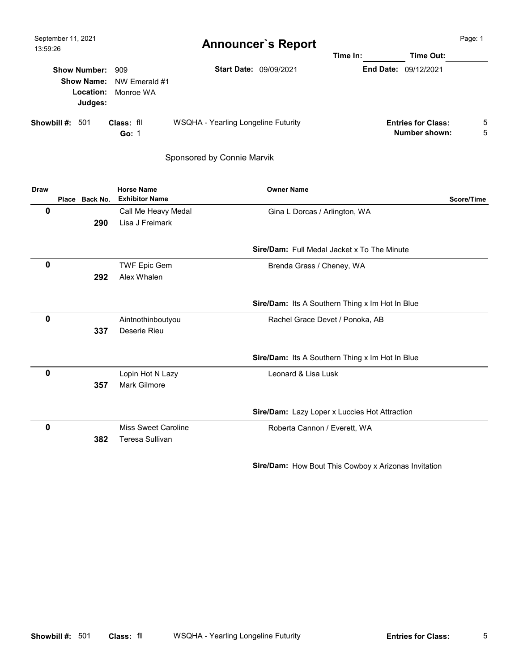| September 11, 2021<br>13:59:26 |                                             |                                                     | <b>Announcer's Report</b>           | Time In: | Time Out:                                  | Page: 1 |
|--------------------------------|---------------------------------------------|-----------------------------------------------------|-------------------------------------|----------|--------------------------------------------|---------|
|                                | <b>Show Number:</b><br>Location:<br>Judges: | 909<br><b>Show Name:</b> NW Emerald #1<br>Monroe WA | <b>Start Date: 09/09/2021</b>       |          | <b>End Date: 09/12/2021</b>                |         |
| Showbill #:                    | 501                                         | Class: fll<br>Go: $1$                               | WSQHA - Yearling Longeline Futurity |          | <b>Entries for Class:</b><br>Number shown: | 5<br>5  |

Sponsored by Connie Marvik

| <b>Draw</b> |                | <b>Horse Name</b>     | <b>Owner Name</b>                                  |            |
|-------------|----------------|-----------------------|----------------------------------------------------|------------|
|             | Place Back No. | <b>Exhibitor Name</b> |                                                    | Score/Time |
| 0           |                | Call Me Heavy Medal   | Gina L Dorcas / Arlington, WA                      |            |
|             | 290            | Lisa J Freimark       |                                                    |            |
|             |                |                       | <b>Sire/Dam:</b> Full Medal Jacket x To The Minute |            |
| 0           |                | <b>TWF Epic Gem</b>   | Brenda Grass / Cheney, WA                          |            |
|             | 292            | Alex Whalen           |                                                    |            |
|             |                |                       | Sire/Dam: Its A Southern Thing x Im Hot In Blue    |            |
| 0           |                | Aintnothinboutyou     | Rachel Grace Devet / Ponoka, AB                    |            |
|             | 337            | Deserie Rieu          |                                                    |            |
|             |                |                       | Sire/Dam: Its A Southern Thing x Im Hot In Blue    |            |
| 0           |                | Lopin Hot N Lazy      | Leonard & Lisa Lusk                                |            |
|             | 357            | <b>Mark Gilmore</b>   |                                                    |            |
|             |                |                       | Sire/Dam: Lazy Loper x Luccies Hot Attraction      |            |
| 0           |                | Miss Sweet Caroline   | Roberta Cannon / Everett, WA                       |            |
|             | 382            | Teresa Sullivan       |                                                    |            |

Sire/Dam: How Bout This Cowboy x Arizonas Invitation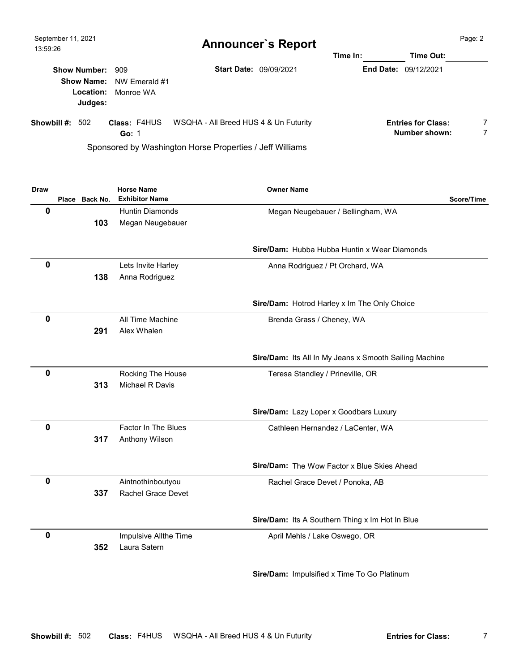| September 11, 2021<br>13:59:26 |                                                     |                                                    | <b>Announcer's Report</b>                                                                         | Time Out: | Page: 2                                    |        |
|--------------------------------|-----------------------------------------------------|----------------------------------------------------|---------------------------------------------------------------------------------------------------|-----------|--------------------------------------------|--------|
|                                | <b>Show Number:</b><br><b>Show Name:</b><br>Judges: | 909<br>NW Emerald #1<br><b>Location:</b> Monroe WA | <b>Start Date: 09/09/2021</b>                                                                     |           | <b>End Date: 09/12/2021</b>                |        |
| Showbill $\#$ : 502            |                                                     | <b>Class: F4HUS</b><br>Go: $1$                     | WSQHA - All Breed HUS 4 & Un Futurity<br>Sponsored by Washington Horse Properties / Jeff Williams |           | <b>Entries for Class:</b><br>Number shown: | 7<br>7 |

| <b>Draw</b> |                | <b>Horse Name</b>      | <b>Owner Name</b>                                      |
|-------------|----------------|------------------------|--------------------------------------------------------|
|             | Place Back No. | <b>Exhibitor Name</b>  | Score/Time                                             |
| 0           |                | <b>Huntin Diamonds</b> | Megan Neugebauer / Bellingham, WA                      |
|             | 103            | Megan Neugebauer       |                                                        |
|             |                |                        |                                                        |
|             |                |                        | <b>Sire/Dam:</b> Hubba Hubba Huntin x Wear Diamonds    |
| 0           |                | Lets Invite Harley     | Anna Rodriguez / Pt Orchard, WA                        |
|             | 138            | Anna Rodriguez         |                                                        |
|             |                |                        |                                                        |
|             |                |                        | Sire/Dam: Hotrod Harley x Im The Only Choice           |
| $\mathbf 0$ |                | All Time Machine       | Brenda Grass / Cheney, WA                              |
|             | 291            | Alex Whalen            |                                                        |
|             |                |                        |                                                        |
|             |                |                        | Sire/Dam: Its All In My Jeans x Smooth Sailing Machine |
| 0           |                | Rocking The House      | Teresa Standley / Prineville, OR                       |
|             | 313            | Michael R Davis        |                                                        |
|             |                |                        |                                                        |
|             |                |                        | Sire/Dam: Lazy Loper x Goodbars Luxury                 |
| 0           |                | Factor In The Blues    | Cathleen Hernandez / LaCenter, WA                      |
|             | 317            | Anthony Wilson         |                                                        |
|             |                |                        | Sire/Dam: The Wow Factor x Blue Skies Ahead            |
| $\mathbf 0$ |                | Aintnothinboutyou      | Rachel Grace Devet / Ponoka, AB                        |
|             | 337            | Rachel Grace Devet     |                                                        |
|             |                |                        | Sire/Dam: Its A Southern Thing x Im Hot In Blue        |
|             |                |                        |                                                        |
| $\mathbf 0$ |                | Impulsive Allthe Time  | April Mehls / Lake Oswego, OR                          |
|             | 352            | Laura Satern           |                                                        |
|             |                |                        | Sire/Dam: Impulsified x Time To Go Platinum            |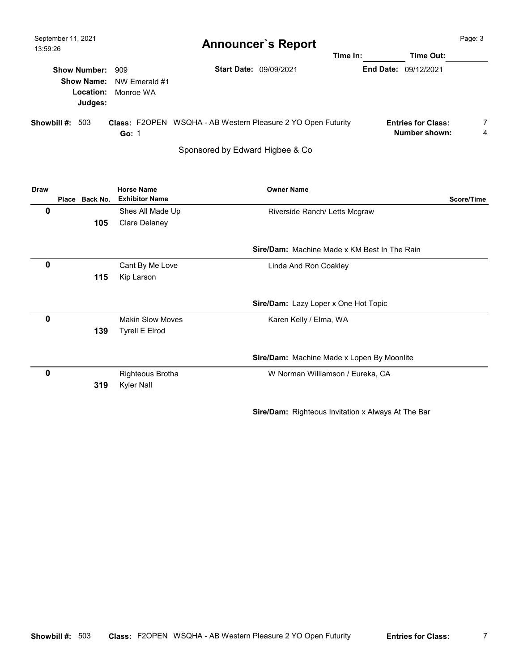| September 11, 2021<br>13:59:26                  |                                              | <b>Announcer's Report</b>                                           | Time In: |                             | Time Out:                                  | Page: 3             |
|-------------------------------------------------|----------------------------------------------|---------------------------------------------------------------------|----------|-----------------------------|--------------------------------------------|---------------------|
| <b>Show Number: 909</b><br>Location:<br>Judges: | <b>Show Name:</b> NW Emerald #1<br>Monroe WA | <b>Start Date: 09/09/2021</b>                                       |          | <b>End Date: 09/12/2021</b> |                                            |                     |
| Showbill #:<br>503                              | Go: 1                                        | <b>Class: F2OPEN WSQHA - AB Western Pleasure 2 YO Open Futurity</b> |          |                             | <b>Entries for Class:</b><br>Number shown: | $\overline{7}$<br>4 |

Sponsored by Edward Higbee & Co

| <b>Draw</b> |                | <b>Horse Name</b>       | <b>Owner Name</b>                                   |            |
|-------------|----------------|-------------------------|-----------------------------------------------------|------------|
|             | Place Back No. | <b>Exhibitor Name</b>   |                                                     | Score/Time |
| 0           |                | Shes All Made Up        | Riverside Ranch/ Letts Mcgraw                       |            |
|             | 105            | <b>Clare Delaney</b>    |                                                     |            |
|             |                |                         |                                                     |            |
|             |                |                         | <b>Sire/Dam:</b> Machine Made x KM Best In The Rain |            |
| 0           |                | Cant By Me Love         | Linda And Ron Coakley                               |            |
|             | 115            | Kip Larson              |                                                     |            |
|             |                |                         |                                                     |            |
|             |                |                         | Sire/Dam: Lazy Loper x One Hot Topic                |            |
| 0           |                | <b>Makin Slow Moves</b> | Karen Kelly / Elma, WA                              |            |
|             | 139            | <b>Tyrell E Elrod</b>   |                                                     |            |
|             |                |                         |                                                     |            |
|             |                |                         | Sire/Dam: Machine Made x Lopen By Moonlite          |            |
| $\mathbf 0$ |                | Righteous Brotha        | W Norman Williamson / Eureka, CA                    |            |
|             | 319            | <b>Kyler Nall</b>       |                                                     |            |
|             |                |                         | Sire/Dam: Righteous Invitation x Always At The Bar  |            |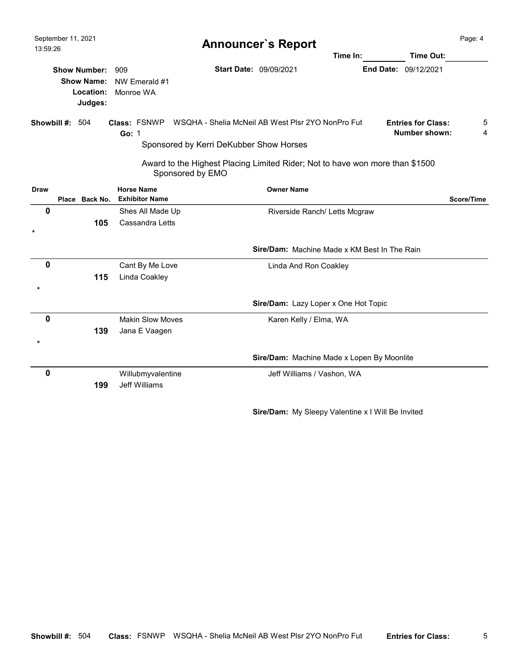| September 11, 2021<br>13:59:26 |                                           |                                           |                                                                                                                  | <b>Announcer's Report</b> |                                                     |                                                   | Page: 4    |
|--------------------------------|-------------------------------------------|-------------------------------------------|------------------------------------------------------------------------------------------------------------------|---------------------------|-----------------------------------------------------|---------------------------------------------------|------------|
|                                |                                           |                                           |                                                                                                                  |                           | Time In:                                            | Time Out:                                         |            |
| <b>Show Number:</b>            | <b>Show Name:</b><br>Location:<br>Judges: | 909<br>NW Emerald #1<br>Monroe WA         |                                                                                                                  | Start Date: 09/09/2021    |                                                     | End Date: 09/12/2021                              |            |
| Showbill #:                    | 504                                       | Go: 1                                     | <b>Class: FSNWP</b> WSQHA - Shelia McNeil AB West Plsr 2YO NonPro Fut<br>Sponsored by Kerri DeKubber Show Horses |                           |                                                     | <b>Entries for Class:</b><br><b>Number shown:</b> | 5<br>4     |
|                                |                                           |                                           | Award to the Highest Placing Limited Rider; Not to have won more than \$1500<br>Sponsored by EMO                 |                           |                                                     |                                                   |            |
| <b>Draw</b>                    |                                           | <b>Horse Name</b>                         |                                                                                                                  | <b>Owner Name</b>         |                                                     |                                                   |            |
|                                | Place Back No.                            | <b>Exhibitor Name</b>                     |                                                                                                                  |                           |                                                     |                                                   | Score/Time |
| 0                              |                                           | Shes All Made Up                          |                                                                                                                  |                           | Riverside Ranch/ Letts Mcgraw                       |                                                   |            |
| $\star$                        | 105                                       | Cassandra Letts                           |                                                                                                                  |                           |                                                     |                                                   |            |
|                                |                                           |                                           |                                                                                                                  |                           | <b>Sire/Dam:</b> Machine Made x KM Best In The Rain |                                                   |            |
| 0                              |                                           | Cant By Me Love                           |                                                                                                                  | Linda And Ron Coakley     |                                                     |                                                   |            |
|                                | 115                                       | Linda Coakley                             |                                                                                                                  |                           |                                                     |                                                   |            |
|                                |                                           |                                           |                                                                                                                  |                           |                                                     |                                                   |            |
|                                |                                           |                                           |                                                                                                                  |                           | Sire/Dam: Lazy Loper x One Hot Topic                |                                                   |            |
| 0                              | 139                                       | <b>Makin Slow Moves</b><br>Jana E Vaagen  |                                                                                                                  | Karen Kelly / Elma, WA    |                                                     |                                                   |            |
|                                |                                           |                                           |                                                                                                                  |                           | Sire/Dam: Machine Made x Lopen By Moonlite          |                                                   |            |
| 0                              | 199                                       | Willubmyvalentine<br><b>Jeff Williams</b> |                                                                                                                  |                           | Jeff Williams / Vashon, WA                          |                                                   |            |

Sire/Dam: My Sleepy Valentine x I Will Be Invited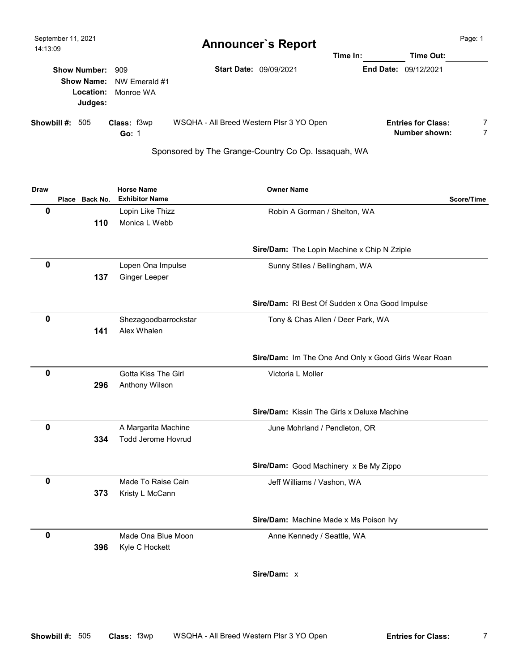| September 11, 2021<br>14:13:09 |                                                               |                             | <b>Announcer's Report</b>                | Time In:         | Time Out:                                  | Page: 1 |
|--------------------------------|---------------------------------------------------------------|-----------------------------|------------------------------------------|------------------|--------------------------------------------|---------|
|                                | Show Number: 909<br><b>Show Name:</b><br>Location:<br>Judges: | NW Emerald #1<br>Monroe WA  | <b>Start Date: 09/09/2021</b>            | <b>End Date:</b> | 09/12/2021                                 |         |
| Showbill $\#$ : 505            |                                                               | <b>Class: f3wp</b><br>Go: 1 | WSQHA - All Breed Western Plsr 3 YO Open |                  | <b>Entries for Class:</b><br>Number shown: | 7       |

## Sponsored by The Grange-Country Co Op. Issaquah, WA

| Draw        |                | <b>Horse Name</b>         | <b>Owner Name</b>                                    |
|-------------|----------------|---------------------------|------------------------------------------------------|
|             | Place Back No. | <b>Exhibitor Name</b>     | Score/Time                                           |
| $\mathbf 0$ |                | Lopin Like Thizz          | Robin A Gorman / Shelton, WA                         |
|             | 110            | Monica L Webb             |                                                      |
|             |                |                           |                                                      |
|             |                |                           | Sire/Dam: The Lopin Machine x Chip N Zziple          |
| $\mathbf 0$ |                | Lopen Ona Impulse         | Sunny Stiles / Bellingham, WA                        |
|             | 137            | Ginger Leeper             |                                                      |
|             |                |                           |                                                      |
|             |                |                           | Sire/Dam: RI Best Of Sudden x Ona Good Impulse       |
| $\mathbf 0$ |                | Shezagoodbarrockstar      | Tony & Chas Allen / Deer Park, WA                    |
|             | 141            | Alex Whalen               |                                                      |
|             |                |                           |                                                      |
|             |                |                           | Sire/Dam: Im The One And Only x Good Girls Wear Roan |
| 0           |                | Gotta Kiss The Girl       | Victoria L Moller                                    |
|             | 296            | Anthony Wilson            |                                                      |
|             |                |                           |                                                      |
|             |                |                           | <b>Sire/Dam: Kissin The Girls x Deluxe Machine</b>   |
| $\mathbf 0$ |                | A Margarita Machine       | June Mohrland / Pendleton, OR                        |
|             | 334            | <b>Todd Jerome Hovrud</b> |                                                      |
|             |                |                           |                                                      |
|             |                |                           | Sire/Dam: Good Machinery x Be My Zippo               |
| $\mathbf 0$ |                | Made To Raise Cain        | Jeff Williams / Vashon, WA                           |
|             | 373            | Kristy L McCann           |                                                      |
|             |                |                           |                                                      |
|             |                |                           | Sire/Dam: Machine Made x Ms Poison Ivy               |
| 0           |                | Made Ona Blue Moon        | Anne Kennedy / Seattle, WA                           |
|             | 396            | Kyle C Hockett            |                                                      |
|             |                |                           | Sire/Dam: x                                          |
|             |                |                           |                                                      |